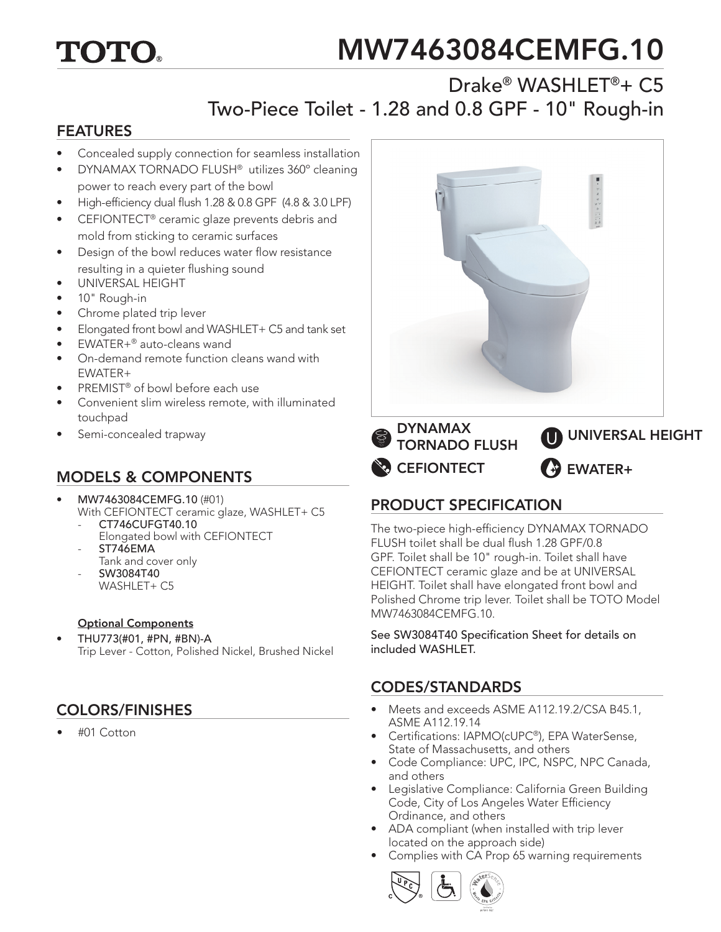# TOTO.

# MW7463084CEMFG.10

## Drake® WASHLET®+ C5 Two-Piece Toilet - 1.28 and 0.8 GPF - 10" Rough-in

#### FEATURES

- Concealed supply connection for seamless installation
- DYNAMAX TORNADO FLUSH® utilizes 360º cleaning power to reach every part of the bowl
- High-efficiency dual flush 1.28 & 0.8 GPF (4.8 & 3.0 LPF)
- CEFIONTECT<sup>®</sup> ceramic glaze prevents debris and mold from sticking to ceramic surfaces
- Design of the bowl reduces water flow resistance resulting in a quieter flushing sound
- UNIVERSAL HEIGHT
- 10" Rough-in
- Chrome plated trip lever
- Elongated front bowl and WASHLET+ C5 and tank set
- EWATER+® auto-cleans wand
- On-demand remote function cleans wand with EWATER+
- PREMIST® of bowl before each use
- Convenient slim wireless remote, with illuminated touchpad
- Semi-concealed trapway

### MODELS & COMPONENTS

- MW7463084CEMFG.10 (#01) With CEFIONTECT ceramic glaze, WASHLET+ C5 - CT746CUFGT40.10
	- Elongated bowl with CEFIONTECT ST746EMA
	- Tank and cover only
	- SW3084T40 WASHLET+ C5

#### Optional Components

• THU773(#01, #PN, #BN)-A Trip Lever - Cotton, Polished Nickel, Brushed Nickel

### COLORS/FINISHES

• #01 Cotton



**CEFIONTECT** TORNADO FLUSH EWATER+ UNIVERSAL HEIGHT

### PRODUCT SPECIFICATION

The two-piece high-efficiency DYNAMAX TORNADO FLUSH toilet shall be dual flush 1.28 GPF/0.8 GPF. Toilet shall be 10" rough-in. Toilet shall have CEFIONTECT ceramic glaze and be at UNIVERSAL HEIGHT. Toilet shall have elongated front bowl and Polished Chrome trip lever. Toilet shall be TOTO Model MW7463084CEMFG.10.

See SW3084T40 Specification Sheet for details on included WASHLET.

#### CODES/STANDARDS

- Meets and exceeds ASME A112.19.2/CSA B45.1, ASME A112.19.14
- Certifications: IAPMO(cUPC®), EPA WaterSense, State of Massachusetts, and others
- Code Compliance: UPC, IPC, NSPC, NPC Canada, and others
- Legislative Compliance: California Green Building Code, City of Los Angeles Water Efficiency Ordinance, and others
- ADA compliant (when installed with trip lever located on the approach side)
- Complies with CA Prop 65 warning requirements